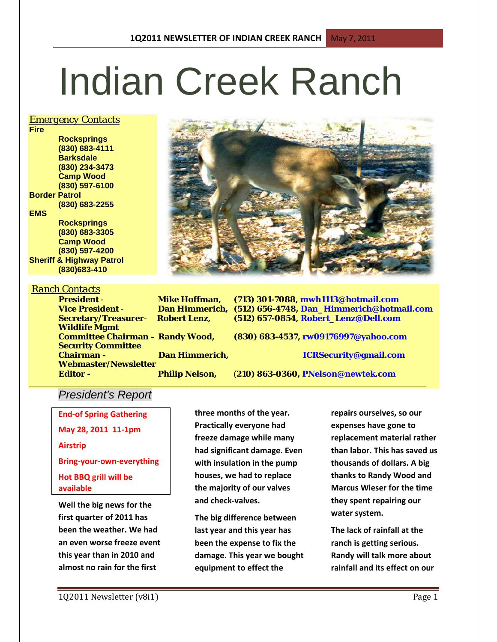# Indian Creek Ranch

### *Emergency Contacts*

**Rocksprings (830) 683-4111 Barksdale (830) 234-3473 Camp Wood (830) 597-6100 Border Patrol (830) 683-2255 EMS Rocksprings (830) 683-3305 Camp Wood (830) 597-4200**

**Sheriff & Highway Patrol (830)683-410**

### *Ranch Contacts*

**Wildlife Mgmt** 

**President** - **Mike Hoffman, (713) 301-7088, mwh1113@hotmail.com Vice President** - **Dan Himmerich, (512) 656-4748, Dan\_Himmerich@hotmail.com Secretary/Treasurer**- **Robert Lenz, (512) 657-0854, Robert\_Lenz@Dell.com**

**Committee Chairman – Randy Wood, (830) 683-4537, rw09176997@yahoo.com Chairman - Dan Himmerich, ICRSecurity@gmail.com**

**Editor - Philip Nelson,** (**210) 863-0360, PNelson@newtek.com**

### *President's Report*

**Webmaster/Newsletter** 

**Security Committee** 

**End-of Spring Gathering May 28, 2011 11-1pm Airstrip Bring-your-own-everything Hot BBQ grill will be available**

**Well the big news for the first quarter of 2011 has been the weather. We had an even worse freeze event this year than in 2010 and almost no rain for the first** 

**three months of the year. Practically everyone had freeze damage while many had significant damage. Even with insulation in the pump houses, we had to replace the majority of our valves and check-valves.**

**\_\_\_\_\_\_\_\_\_\_\_\_\_\_\_\_\_\_\_\_\_\_\_\_\_\_\_\_\_\_\_\_\_\_\_\_\_\_\_\_\_\_\_\_\_\_\_\_\_\_\_\_\_\_\_\_\_\_\_\_\_\_\_\_\_\_\_\_\_\_\_\_\_\_\_\_\_\_\_\_\_\_\_\_\_\_\_\_**

**The big difference between last year and this year has been the expense to fix the damage. This year we bought equipment to effect the** 

**repairs ourselves, so our expenses have gone to replacement material rather than labor. This has saved us thousands of dollars. A big thanks to Randy Wood and Marcus Wieser for the time they spent repairing our water system.** 

**The lack of rainfall at the ranch is getting serious. Randy will talk more about rainfall and its effect on our** 



**Fire**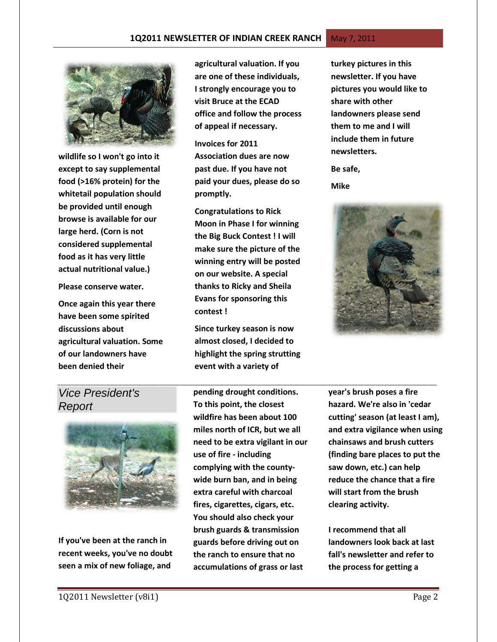

**wildlife so I won't go into it except to say supplemental food (>16% protein) for the whitetail population should be provided until enough browse is available for our large herd. (Corn is not considered supplemental food as it has very little actual nutritional value.)** 

**Please conserve water.**

**Once again this year there have been some spirited discussions about agricultural valuation. Some of our landowners have been denied their** 

**agricultural valuation. If you are one of these individuals, I strongly encourage you to visit Bruce at the ECAD office and follow the process of appeal if necessary.**

**Invoices for 2011 Association dues are now past due. If you have not paid your dues, please do so promptly.** 

**Congratulations to Rick Moon in Phase I for winning the Big Buck Contest ! I will make sure the picture of the winning entry will be posted on our website. A special thanks to Ricky and Sheila Evans for sponsoring this contest !**

**Since turkey season is now almost closed, I decided to highlight the spring strutting event with a variety of** 

**turkey pictures in this newsletter. If you have pictures you would like to share with other landowners please send them to me and I will include them in future newsletters.**

**Be safe,**

**Mike**



# *Vice President's Report*



**If you've been at the ranch in recent weeks, you've no doubt seen a mix of new foliage, and** 

**pending drought conditions. To this point, the closest wildfire has been about 100 miles north of ICR, but we all need to be extra vigilant in our use of fire - including complying with the countywide burn ban, and in being extra careful with charcoal fires, cigarettes, cigars, etc. You should also check your brush guards & transmission guards before driving out on the ranch to ensure that no accumulations of grass or last** 

*\_\_\_\_\_\_\_\_\_\_\_\_\_\_\_\_\_\_\_\_\_\_\_\_\_\_\_\_\_\_\_\_\_\_\_\_\_\_\_\_\_\_\_\_\_\_\_\_\_\_\_\_\_\_\_\_\_\_\_\_* **year's brush poses a fire hazard. We're also in 'cedar cutting' season (at least I am), and extra vigilance when using chainsaws and brush cutters (finding bare places to put the saw down, etc.) can help reduce the chance that a fire will start from the brush clearing activity.**

> **I recommend that all landowners look back at last fall's newsletter and refer to the process for getting a**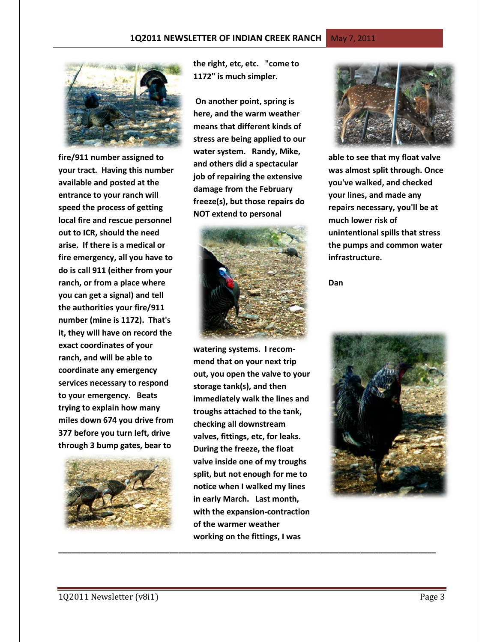**fire/911 number assigned to your tract. Having this number available and posted at the entrance to your ranch will speed the process of getting local fire and rescue personnel out to ICR, should the need arise. If there is a medical or fire emergency, all you have to do is call 911 (either from your ranch, or from a place where you can get a signal) and tell the authorities your fire/911 number (mine is 1172). That's it, they will have on record the exact coordinates of your ranch, and will be able to coordinate any emergency services necessary to respond to your emergency. Beats trying to explain how many miles down 674 you drive from 377 before you turn left, drive through 3 bump gates, bear to** 



**the right, etc, etc. "come to 1172" is much simpler.** 

**On another point, spring is here, and the warm weather means that different kinds of stress are being applied to our water system. Randy, Mike, and others did a spectacular job of repairing the extensive damage from the February freeze(s), but those repairs do NOT extend to personal** 



**watering systems. I recommend that on your next trip out, you open the valve to your storage tank(s), and then immediately walk the lines and troughs attached to the tank, checking all downstream valves, fittings, etc, for leaks. During the freeze, the float valve inside one of my troughs split, but not enough for me to notice when I walked my lines in early March. Last month, with the expansion-contraction of the warmer weather working on the fittings, I was** 

**\_\_\_\_\_\_\_\_\_\_\_\_\_\_\_\_\_\_\_\_\_\_\_\_\_\_\_\_\_\_\_\_\_\_\_\_\_\_\_\_\_\_\_\_\_\_\_\_\_\_\_\_\_\_\_\_\_\_\_\_\_\_\_\_\_\_\_\_\_\_\_\_\_\_\_\_\_\_\_\_\_\_\_\_\_**



**able to see that my float valve was almost split through. Once you've walked, and checked your lines, and made any repairs necessary, you'll be at much lower risk of unintentional spills that stress the pumps and common water infrastructure.**

**Dan**

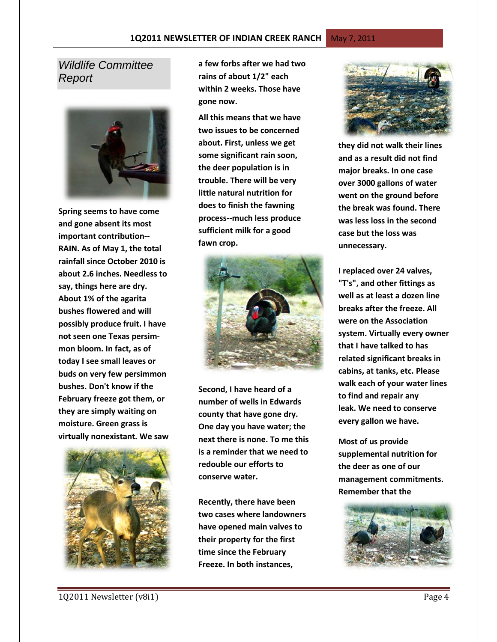### *Wildlife Committee Report*



**Spring seems to have come and gone absent its most important contribution-- RAIN. As of May 1, the total rainfall since October 2010 is about 2.6 inches. Needless to say, things here are dry. About 1% of the agarita bushes flowered and will possibly produce fruit. I have not seen one Texas persimmon bloom. In fact, as of today I see small leaves or buds on very few persimmon bushes. Don't know if the February freeze got them, or they are simply waiting on moisture. Green grass is virtually nonexistant. We saw** 



**a few forbs after we had two rains of about 1/2" each within 2 weeks. Those have gone now.** 

**All this means that we have two issues to be concerned about. First, unless we get some significant rain soon, the deer population is in trouble. There will be very little natural nutrition for does to finish the fawning process--much less produce sufficient milk for a good fawn crop.** 



**Second, I have heard of a number of wells in Edwards county that have gone dry. One day you have water; the next there is none. To me this is a reminder that we need to redouble our efforts to conserve water.** 

**Recently, there have been two cases where landowners have opened main valves to their property for the first time since the February Freeze. In both instances,** 



**they did not walk their lines and as a result did not find major breaks. In one case over 3000 gallons of water went on the ground before the break was found. There was less loss in the second case but the loss was unnecessary.** 

**I replaced over 24 valves, "T's", and other fittings as well as at least a dozen line breaks after the freeze. All were on the Association system. Virtually every owner that I have talked to has related significant breaks in cabins, at tanks, etc. Please walk each of your water lines to find and repair any leak. We need to conserve every gallon we have.** 

**Most of us provide supplemental nutrition for the deer as one of our management commitments. Remember that the** 

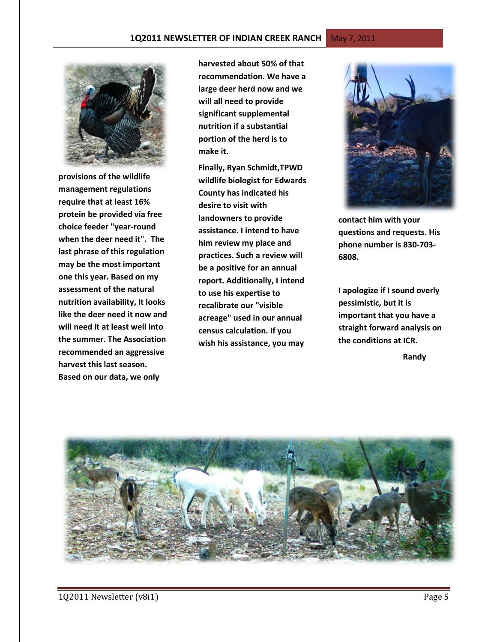

**provisions of the wildlife management regulations require that at least 16% protein be provided via free choice feeder "year-round when the deer need it". The last phrase of this regulation may be the most important one this year. Based on my assessment of the natural nutrition availability, It looks like the deer need it now and will need it at least well into the summer. The Association recommended an aggressive harvest this last season. Based on our data, we only** 

**harvested about 50% of that recommendation. We have a large deer herd now and we will all need to provide significant supplemental nutrition if a substantial portion of the herd is to make it.** 

**Finally, Ryan Schmidt,TPWD wildlife biologist for Edwards County has indicated his desire to visit with landowners to provide assistance. I intend to have him review my place and practices. Such a review will be a positive for an annual report. Additionally, I intend to use his expertise to recalibrate our "visible acreage" used in our annual census calculation. If you wish his assistance, you may** 



**contact him with your questions and requests. His phone number is 830-703- 6808.** 

**I apologize if I sound overly pessimistic, but it is important that you have a straight forward analysis on the conditions at ICR.** 

 **Randy**

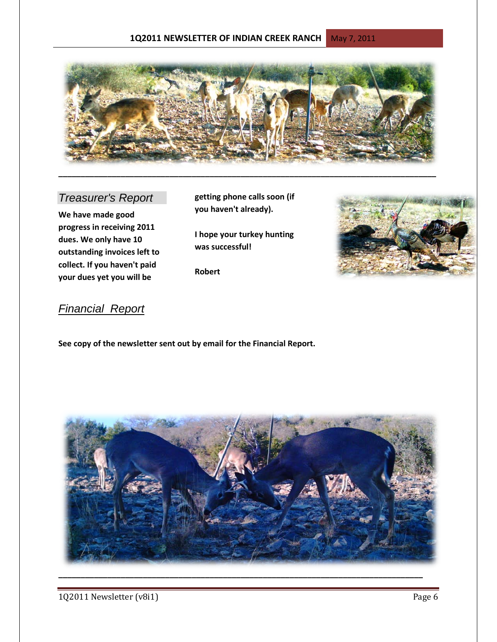### **1Q2011 NEWSLETTER OF INDIAN CREEK RANCH** May 7, 2011



# *Treasurer's Report*

**We have made good progress in receiving 2011 dues. We only have 10 outstanding invoices left to collect. If you haven't paid your dues yet you will be** 

**getting phone calls soon (if you haven't already).**

**I hope your turkey hunting was successful!**

**Robert**



# *Financial Report*

**See copy of the newsletter sent out by email for the Financial Report.**